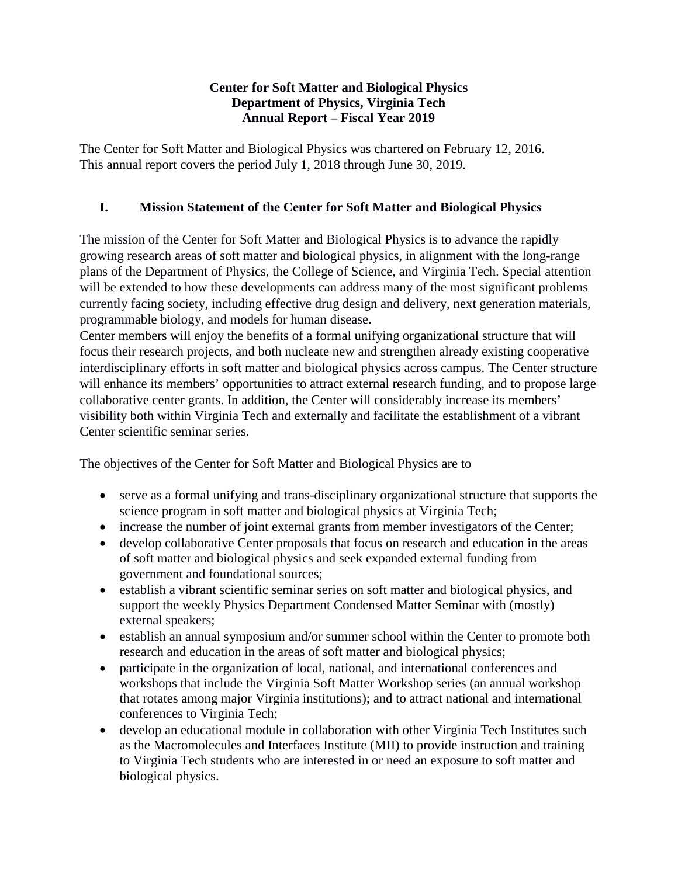#### **Center for Soft Matter and Biological Physics Department of Physics, Virginia Tech Annual Report – Fiscal Year 2019**

The Center for Soft Matter and Biological Physics was chartered on February 12, 2016. This annual report covers the period July 1, 2018 through June 30, 2019.

# **I. Mission Statement of the Center for Soft Matter and Biological Physics**

The mission of the Center for Soft Matter and Biological Physics is to advance the rapidly growing research areas of soft matter and biological physics, in alignment with the long-range plans of the Department of Physics, the College of Science, and Virginia Tech. Special attention will be extended to how these developments can address many of the most significant problems currently facing society, including effective drug design and delivery, next generation materials, programmable biology, and models for human disease.

Center members will enjoy the benefits of a formal unifying organizational structure that will focus their research projects, and both nucleate new and strengthen already existing cooperative interdisciplinary efforts in soft matter and biological physics across campus. The Center structure will enhance its members' opportunities to attract external research funding, and to propose large collaborative center grants. In addition, the Center will considerably increase its members' visibility both within Virginia Tech and externally and facilitate the establishment of a vibrant Center scientific seminar series.

The objectives of the Center for Soft Matter and Biological Physics are to

- serve as a formal unifying and trans-disciplinary organizational structure that supports the science program in soft matter and biological physics at Virginia Tech;
- increase the number of joint external grants from member investigators of the Center;
- develop collaborative Center proposals that focus on research and education in the areas of soft matter and biological physics and seek expanded external funding from government and foundational sources;
- establish a vibrant scientific seminar series on soft matter and biological physics, and support the weekly Physics Department Condensed Matter Seminar with (mostly) external speakers;
- establish an annual symposium and/or summer school within the Center to promote both research and education in the areas of soft matter and biological physics;
- participate in the organization of local, national, and international conferences and workshops that include the Virginia Soft Matter Workshop series (an annual workshop that rotates among major Virginia institutions); and to attract national and international conferences to Virginia Tech;
- develop an educational module in collaboration with other Virginia Tech Institutes such as the Macromolecules and Interfaces Institute (MII) to provide instruction and training to Virginia Tech students who are interested in or need an exposure to soft matter and biological physics.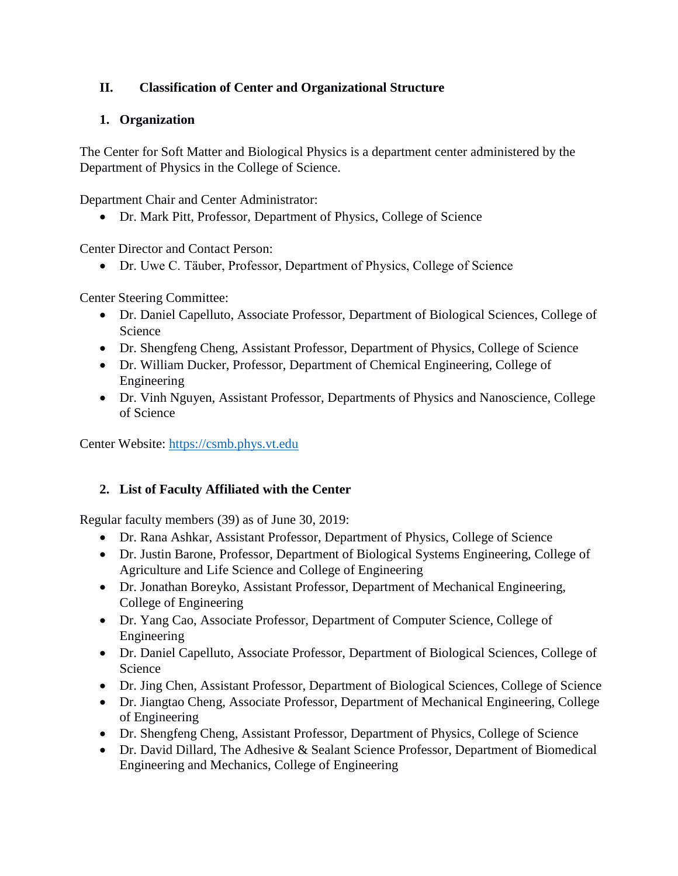# **II. Classification of Center and Organizational Structure**

# **1. Organization**

The Center for Soft Matter and Biological Physics is a department center administered by the Department of Physics in the College of Science.

Department Chair and Center Administrator:

• Dr. Mark Pitt, Professor, Department of Physics, College of Science

Center Director and Contact Person:

• Dr. Uwe C. Tӓuber, Professor, Department of Physics, College of Science

Center Steering Committee:

- Dr. Daniel Capelluto, Associate Professor, Department of Biological Sciences, College of Science
- Dr. Shengfeng Cheng, Assistant Professor, Department of Physics, College of Science
- Dr. William Ducker, Professor, Department of Chemical Engineering, College of Engineering
- Dr. Vinh Nguyen, Assistant Professor, Departments of Physics and Nanoscience, College of Science

Center Website: [https://csmb.phys.vt.edu](https://csmb.phys.vt.edu/)

## **2. List of Faculty Affiliated with the Center**

Regular faculty members (39) as of June 30, 2019:

- Dr. Rana Ashkar, Assistant Professor, Department of Physics, College of Science
- Dr. Justin Barone, Professor, Department of Biological Systems Engineering, College of Agriculture and Life Science and College of Engineering
- Dr. Jonathan Boreyko, Assistant Professor, Department of Mechanical Engineering, College of Engineering
- Dr. Yang Cao, Associate Professor, Department of Computer Science, College of Engineering
- Dr. Daniel Capelluto, Associate Professor, Department of Biological Sciences, College of Science
- Dr. Jing Chen, Assistant Professor, Department of Biological Sciences, College of Science
- Dr. Jiangtao Cheng, Associate Professor, Department of Mechanical Engineering, College of Engineering
- Dr. Shengfeng Cheng, Assistant Professor, Department of Physics, College of Science
- Dr. David Dillard, The Adhesive & Sealant Science Professor, Department of Biomedical Engineering and Mechanics, College of Engineering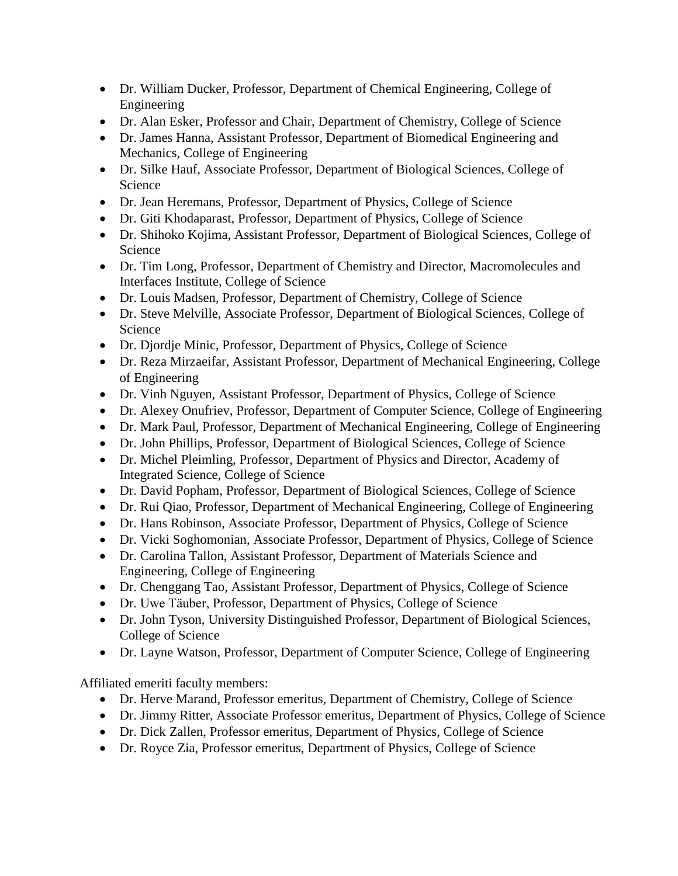- Dr. William Ducker, Professor, Department of Chemical Engineering, College of Engineering
- Dr. Alan Esker, Professor and Chair, Department of Chemistry, College of Science
- Dr. James Hanna, Assistant Professor, Department of Biomedical Engineering and Mechanics, College of Engineering
- Dr. Silke Hauf, Associate Professor, Department of Biological Sciences, College of Science
- Dr. Jean Heremans, Professor, Department of Physics, College of Science
- Dr. Giti Khodaparast, Professor, Department of Physics, College of Science
- Dr. Shihoko Kojima, Assistant Professor, Department of Biological Sciences, College of Science
- Dr. Tim Long, Professor, Department of Chemistry and Director, Macromolecules and Interfaces Institute, College of Science
- Dr. Louis Madsen, Professor, Department of Chemistry, College of Science
- Dr. Steve Melville, Associate Professor, Department of Biological Sciences, College of Science
- Dr. Djordje Minic, Professor, Department of Physics, College of Science
- Dr. Reza Mirzaeifar, Assistant Professor, Department of Mechanical Engineering, College of Engineering
- Dr. Vinh Nguyen, Assistant Professor, Department of Physics, College of Science
- Dr. Alexey Onufriev, Professor, Department of Computer Science, College of Engineering
- Dr. Mark Paul, Professor, Department of Mechanical Engineering, College of Engineering
- Dr. John Phillips, Professor, Department of Biological Sciences, College of Science
- Dr. Michel Pleimling, Professor, Department of Physics and Director, Academy of Integrated Science, College of Science
- Dr. David Popham, Professor, Department of Biological Sciences, College of Science
- Dr. Rui Qiao, Professor, Department of Mechanical Engineering, College of Engineering
- Dr. Hans Robinson, Associate Professor, Department of Physics, College of Science
- Dr. Vicki Soghomonian, Associate Professor, Department of Physics, College of Science
- Dr. Carolina Tallon, Assistant Professor, Department of Materials Science and Engineering, College of Engineering
- Dr. Chenggang Tao, Assistant Professor, Department of Physics, College of Science
- Dr. Uwe Täuber, Professor, Department of Physics, College of Science
- Dr. John Tyson, University Distinguished Professor, Department of Biological Sciences, College of Science
- Dr. Layne Watson, Professor, Department of Computer Science, College of Engineering

Affiliated emeriti faculty members:

- Dr. Herve Marand, Professor emeritus, Department of Chemistry, College of Science
- Dr. Jimmy Ritter, Associate Professor emeritus, Department of Physics, College of Science
- Dr. Dick Zallen, Professor emeritus, Department of Physics, College of Science
- Dr. Royce Zia, Professor emeritus, Department of Physics, College of Science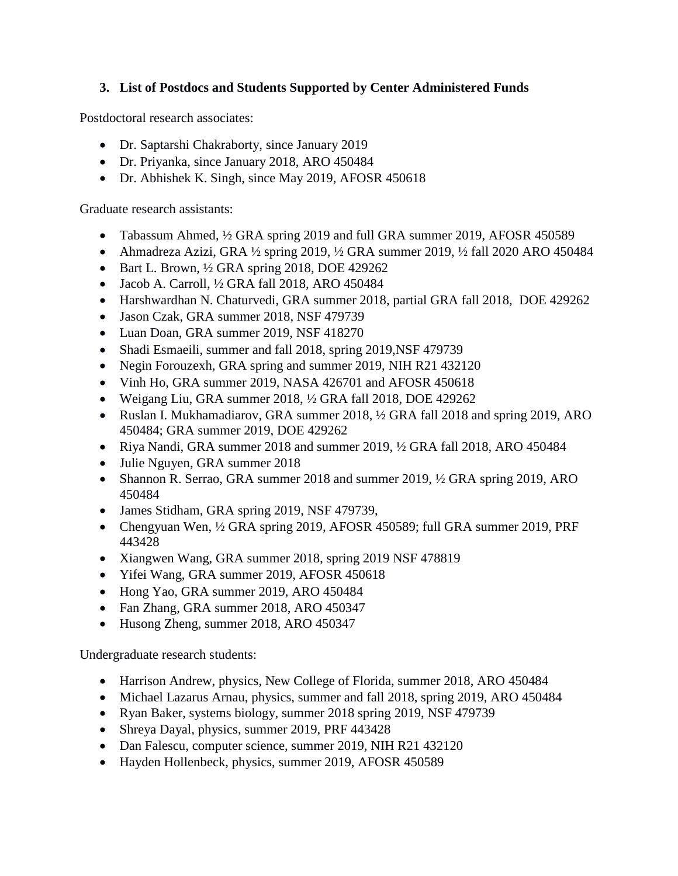### **3. List of Postdocs and Students Supported by Center Administered Funds**

Postdoctoral research associates:

- Dr. Saptarshi Chakraborty, since January 2019
- Dr. Priyanka, since January 2018, ARO 450484
- Dr. Abhishek K. Singh, since May 2019, AFOSR 450618

Graduate research assistants:

- Tabassum Ahmed,  $\frac{1}{2}$  GRA spring 2019 and full GRA summer 2019, AFOSR 450589
- Ahmadreza Azizi, GRA  $\frac{1}{2}$  spring 2019,  $\frac{1}{2}$  GRA summer 2019,  $\frac{1}{2}$  fall 2020 ARO 450484
- Bart L. Brown,  $\frac{1}{2}$  GRA spring 2018, DOE 429262
- Jacob A. Carroll, ½ GRA fall 2018, ARO 450484
- Harshwardhan N. Chaturvedi, GRA summer 2018, partial GRA fall 2018, DOE 429262
- Jason Czak, GRA summer 2018, NSF 479739
- Luan Doan, GRA summer 2019, NSF 418270
- Shadi Esmaeili, summer and fall 2018, spring 2019, NSF 479739
- Negin Forouzexh, GRA spring and summer 2019, NIH R21 432120
- Vinh Ho, GRA summer 2019, NASA 426701 and AFOSR 450618
- Weigang Liu, GRA summer 2018, ½ GRA fall 2018, DOE 429262
- Ruslan I. Mukhamadiarov, GRA summer 2018,  $\frac{1}{2}$  GRA fall 2018 and spring 2019, ARO 450484; GRA summer 2019, DOE 429262
- Riya Nandi, GRA summer 2018 and summer 2019,  $\frac{1}{2}$  GRA fall 2018, ARO 450484
- Julie Nguyen, GRA summer 2018
- Shannon R. Serrao, GRA summer 2018 and summer 2019,  $\frac{1}{2}$  GRA spring 2019, ARO 450484
- James Stidham, GRA spring 2019, NSF 479739,
- Chengyuan Wen, ½ GRA spring 2019, AFOSR 450589; full GRA summer 2019, PRF 443428
- Xiangwen Wang, GRA summer 2018, spring 2019 NSF 478819
- Yifei Wang, GRA summer 2019, AFOSR 450618
- Hong Yao, GRA summer 2019, ARO 450484
- Fan Zhang, GRA summer 2018, ARO 450347
- Husong Zheng, summer 2018, ARO 450347

Undergraduate research students:

- Harrison Andrew, physics, New College of Florida, summer 2018, ARO 450484
- Michael Lazarus Arnau, physics, summer and fall 2018, spring 2019, ARO 450484
- Ryan Baker, systems biology, summer 2018 spring 2019, NSF 479739
- Shreya Dayal, physics, summer 2019, PRF 443428
- Dan Falescu, computer science, summer 2019, NIH R21 432120
- Hayden Hollenbeck, physics, summer 2019, AFOSR 450589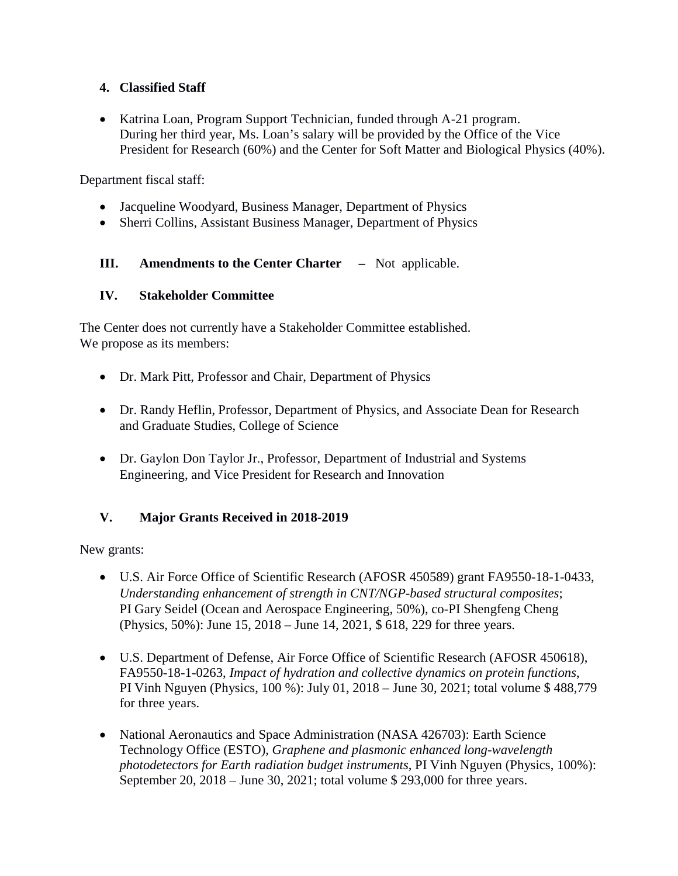### **4. Classified Staff**

• Katrina Loan, Program Support Technician, funded through A-21 program. During her third year, Ms. Loan's salary will be provided by the Office of the Vice President for Research (60%) and the Center for Soft Matter and Biological Physics (40%).

Department fiscal staff:

- Jacqueline Woodyard, Business Manager, Department of Physics
- Sherri Collins, Assistant Business Manager, Department of Physics
- **III. Amendments to the Center Charter** Not applicable.

### **IV. Stakeholder Committee**

The Center does not currently have a Stakeholder Committee established. We propose as its members:

- Dr. Mark Pitt, Professor and Chair, Department of Physics
- Dr. Randy Heflin, Professor, Department of Physics, and Associate Dean for Research and Graduate Studies, College of Science
- Dr. Gaylon Don Taylor Jr., Professor, Department of Industrial and Systems Engineering, and Vice President for Research and Innovation

## **V. Major Grants Received in 2018-2019**

New grants:

- U.S. Air Force Office of Scientific Research (AFOSR 450589) grant FA9550-18-1-0433, *Understanding enhancement of strength in CNT/NGP-based structural composites*; PI Gary Seidel (Ocean and Aerospace Engineering, 50%), co-PI Shengfeng Cheng (Physics, 50%): June 15, 2018 – June 14, 2021, \$ 618, 229 for three years.
- U.S. Department of Defense, Air Force Office of Scientific Research (AFOSR 450618), FA9550-18-1-0263, *Impact of hydration and collective dynamics on protein functions*, PI Vinh Nguyen (Physics, 100 %): July 01, 2018 – June 30, 2021; total volume \$ 488,779 for three years.
- National Aeronautics and Space Administration (NASA 426703): Earth Science Technology Office (ESTO), *Graphene and plasmonic enhanced long-wavelength photodetectors for Earth radiation budget instruments*, PI Vinh Nguyen (Physics, 100%): September 20, 2018 – June 30, 2021; total volume \$ 293,000 for three years.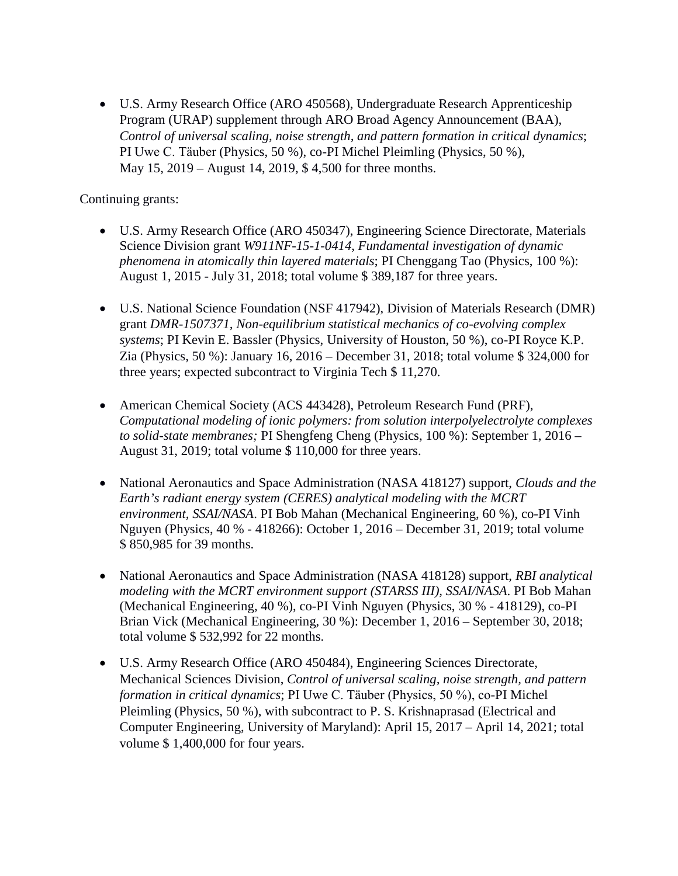• U.S. Army Research Office (ARO 450568), Undergraduate Research Apprenticeship Program (URAP) supplement through ARO Broad Agency Announcement (BAA), *Control of universal scaling, noise strength, and pattern formation in critical dynamics*; PI Uwe C. Täuber (Physics, 50 %), co-PI Michel Pleimling (Physics, 50 %), May 15, 2019 – August 14, 2019, \$ 4,500 for three months.

Continuing grants:

- U.S. Army Research Office (ARO 450347), Engineering Science Directorate, Materials Science Division grant *W911NF-15-1-0414*, *Fundamental investigation of dynamic phenomena in atomically thin layered materials*; PI Chenggang Tao (Physics, 100 %): August 1, 2015 - July 31, 2018; total volume \$ 389,187 for three years.
- U.S. National Science Foundation (NSF 417942), Division of Materials Research (DMR) grant *DMR-1507371, Non-equilibrium statistical mechanics of co-evolving complex systems*; PI Kevin E. Bassler (Physics, University of Houston, 50 %), co-PI Royce K.P. Zia (Physics, 50 %): January 16, 2016 – December 31, 2018; total volume \$ 324,000 for three years; expected subcontract to Virginia Tech \$ 11,270.
- American Chemical Society (ACS 443428), Petroleum Research Fund (PRF), *Computational modeling of ionic polymers: from solution interpolyelectrolyte complexes to solid-state membranes;* PI Shengfeng Cheng (Physics, 100 %): September 1, 2016 – August 31, 2019; total volume \$ 110,000 for three years.
- National Aeronautics and Space Administration (NASA 418127) support, *Clouds and the Earth's radiant energy system (CERES) analytical modeling with the MCRT environment, SSAI/NASA*. PI Bob Mahan (Mechanical Engineering, 60 %), co-PI Vinh Nguyen (Physics, 40 % - 418266): October 1, 2016 – December 31, 2019; total volume \$ 850,985 for 39 months.
- National Aeronautics and Space Administration (NASA 418128) support, *RBI analytical modeling with the MCRT environment support (STARSS III), SSAI/NASA*. PI Bob Mahan (Mechanical Engineering, 40 %), co-PI Vinh Nguyen (Physics, 30 % - 418129), co-PI Brian Vick (Mechanical Engineering, 30 %): December 1, 2016 – September 30, 2018; total volume \$ 532,992 for 22 months.
- U.S. Army Research Office (ARO 450484), Engineering Sciences Directorate, Mechanical Sciences Division, *Control of universal scaling, noise strength, and pattern formation in critical dynamics*; PI Uwe C. Tӓuber (Physics, 50 %), co-PI Michel Pleimling (Physics, 50 %), with subcontract to P. S. Krishnaprasad (Electrical and Computer Engineering, University of Maryland): April 15, 2017 – April 14, 2021; total volume \$ 1,400,000 for four years.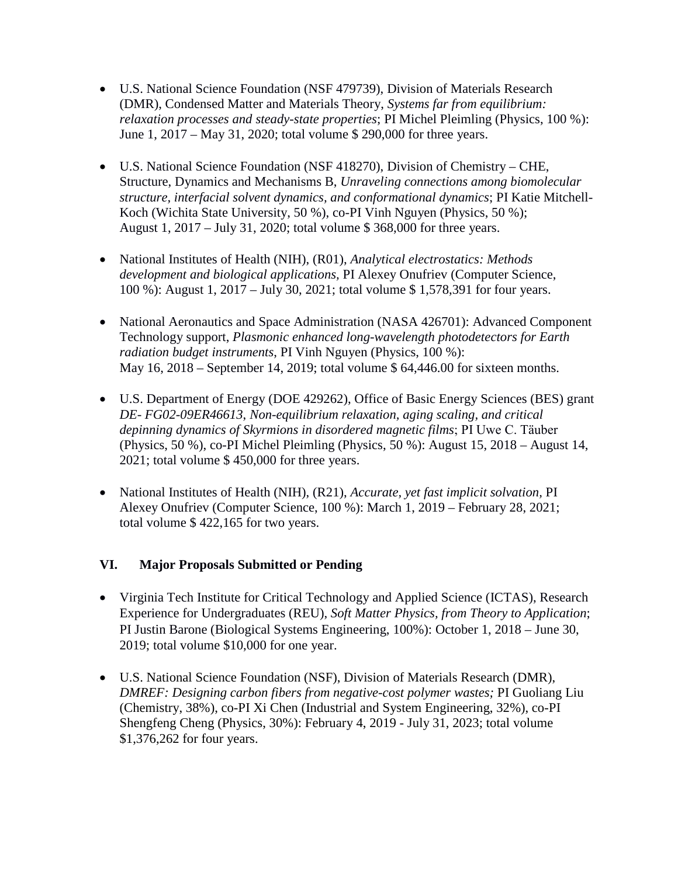- U.S. National Science Foundation (NSF 479739), Division of Materials Research (DMR), Condensed Matter and Materials Theory, *Systems far from equilibrium: relaxation processes and steady-state properties*; PI Michel Pleimling (Physics, 100 %): June 1, 2017 – May 31, 2020; total volume \$ 290,000 for three years.
- U.S. National Science Foundation (NSF 418270), Division of Chemistry CHE, Structure, Dynamics and Mechanisms B, *Unraveling connections among biomolecular structure, interfacial solvent dynamics, and conformational dynamics*; PI Katie Mitchell-Koch (Wichita State University, 50 %), co-PI Vinh Nguyen (Physics, 50 %); August 1, 2017 – July 31, 2020; total volume \$ 368,000 for three years.
- National Institutes of Health (NIH), (R01), *Analytical electrostatics: Methods development and biological applications,* PI Alexey Onufriev (Computer Science, 100 %): August 1, 2017 – July 30, 2021; total volume \$ 1,578,391 for four years.
- National Aeronautics and Space Administration (NASA 426701): Advanced Component Technology support, *Plasmonic enhanced long-wavelength photodetectors for Earth radiation budget instruments*, PI Vinh Nguyen (Physics, 100 %): May 16, 2018 – September 14, 2019; total volume \$ 64,446.00 for sixteen months.
- U.S. Department of Energy (DOE 429262), Office of Basic Energy Sciences (BES) grant *DE- FG02-09ER46613*, *Non-equilibrium relaxation, aging scaling, and critical depinning dynamics of Skyrmions in disordered magnetic films*; PI Uwe C. Tӓuber (Physics, 50 %), co-PI Michel Pleimling (Physics, 50 %): August 15, 2018 – August 14, 2021; total volume \$ 450,000 for three years.
- National Institutes of Health (NIH), (R21), *Accurate, yet fast implicit solvation,* PI Alexey Onufriev (Computer Science, 100 %): March 1, 2019 – February 28, 2021; total volume \$ 422,165 for two years.

#### **VI. Major Proposals Submitted or Pending**

- Virginia Tech Institute for Critical Technology and Applied Science (ICTAS), Research Experience for Undergraduates (REU), *Soft Matter Physics, from Theory to Application*; PI Justin Barone (Biological Systems Engineering, 100%): October 1, 2018 – June 30, 2019; total volume \$10,000 for one year.
- U.S. National Science Foundation (NSF), Division of Materials Research (DMR), *DMREF: Designing carbon fibers from negative-cost polymer wastes;* PI Guoliang Liu (Chemistry, 38%), co-PI Xi Chen (Industrial and System Engineering, 32%), co-PI Shengfeng Cheng (Physics, 30%): February 4, 2019 - July 31, 2023; total volume \$1,376,262 for four years.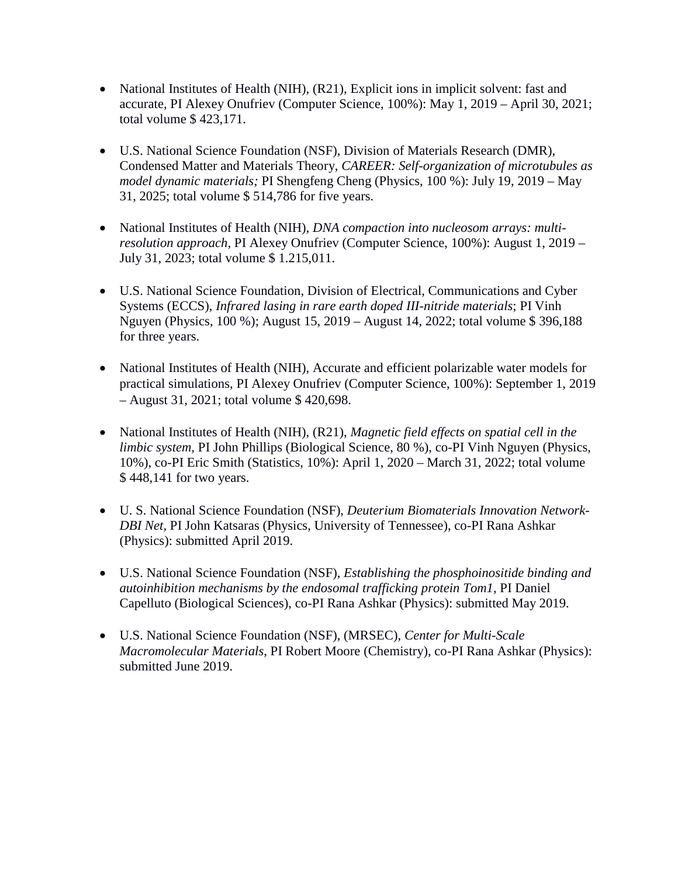- National Institutes of Health (NIH), (R21), Explicit ions in implicit solvent: fast and accurate, PI Alexey Onufriev (Computer Science, 100%): May 1, 2019 – April 30, 2021; total volume \$ 423,171.
- U.S. National Science Foundation (NSF), Division of Materials Research (DMR), Condensed Matter and Materials Theory, *CAREER: Self-organization of microtubules as model dynamic materials;* PI Shengfeng Cheng (Physics, 100 %): July 19, 2019 – May 31, 2025; total volume \$ 514,786 for five years.
- National Institutes of Health (NIH), *DNA compaction into nucleosom arrays: multiresolution approach,* PI Alexey Onufriev (Computer Science, 100%): August 1, 2019 – July 31, 2023; total volume \$ 1.215,011.
- U.S. National Science Foundation, Division of Electrical, Communications and Cyber Systems (ECCS), *Infrared lasing in rare earth doped III-nitride materials*; PI Vinh Nguyen (Physics, 100 %); August 15, 2019 – August 14, 2022; total volume \$ 396,188 for three years.
- National Institutes of Health (NIH), Accurate and efficient polarizable water models for practical simulations, PI Alexey Onufriev (Computer Science, 100%): September 1, 2019 – August 31, 2021; total volume \$ 420,698.
- National Institutes of Health (NIH), (R21), *Magnetic field effects on spatial cell in the limbic system,* PI John Phillips (Biological Science, 80 %), co-PI Vinh Nguyen (Physics, 10%), co-PI Eric Smith (Statistics, 10%): April 1, 2020 – March 31, 2022; total volume \$ 448,141 for two years.
- U. S. National Science Foundation (NSF), *Deuterium Biomaterials Innovation Network-DBI Net,* PI John Katsaras (Physics, University of Tennessee), co-PI Rana Ashkar (Physics): submitted April 2019.
- U.S. National Science Foundation (NSF), *Establishing the phosphoinositide binding and autoinhibition mechanisms by the endosomal trafficking protein Tom1,* PI Daniel Capelluto (Biological Sciences), co-PI Rana Ashkar (Physics): submitted May 2019.
- U.S. National Science Foundation (NSF), (MRSEC), *Center for Multi-Scale Macromolecular Materials*, PI Robert Moore (Chemistry), co-PI Rana Ashkar (Physics): submitted June 2019.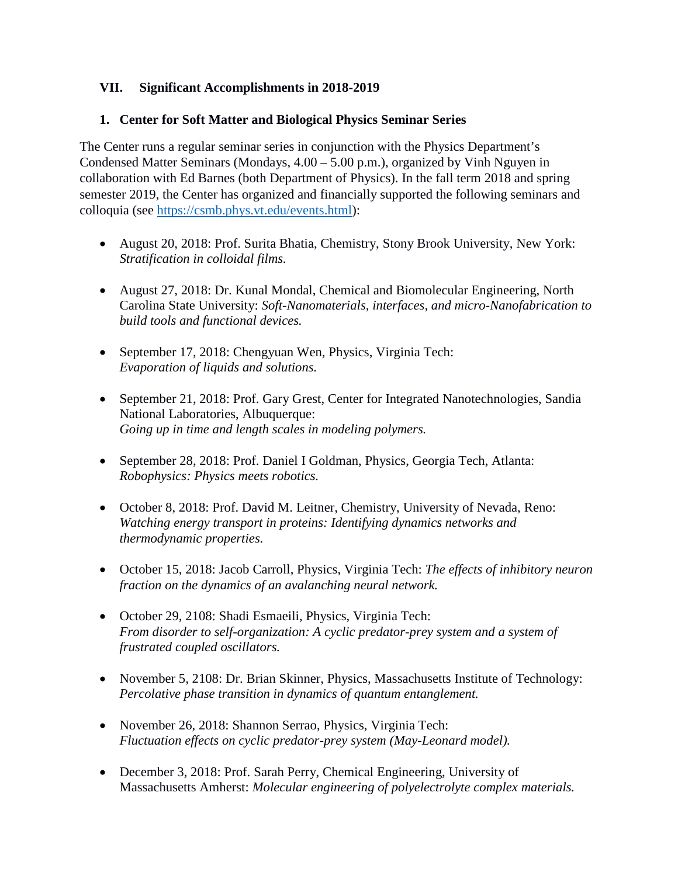#### **VII. Significant Accomplishments in 2018-2019**

#### **1. Center for Soft Matter and Biological Physics Seminar Series**

The Center runs a regular seminar series in conjunction with the Physics Department's Condensed Matter Seminars (Mondays, 4.00 – 5.00 p.m.), organized by Vinh Nguyen in collaboration with Ed Barnes (both Department of Physics). In the fall term 2018 and spring semester 2019, the Center has organized and financially supported the following seminars and colloquia (see [https://csmb.phys.vt.edu/events.html\)](https://csmb.phys.vt.edu/events.html):

- August 20, 2018: Prof. Surita Bhatia, Chemistry, Stony Brook University, New York: *Stratification in colloidal films.*
- August 27, 2018: Dr. Kunal Mondal, Chemical and Biomolecular Engineering, North Carolina State University: *Soft-Nanomaterials, interfaces, and micro-Nanofabrication to build tools and functional devices.*
- September 17, 2018: Chengyuan Wen, Physics, Virginia Tech: *Evaporation of liquids and solutions.*
- September 21, 2018: Prof. Gary Grest, Center for Integrated Nanotechnologies, Sandia National Laboratories, Albuquerque: *Going up in time and length scales in modeling polymers.*
- September 28, 2018: Prof. Daniel I Goldman, Physics, Georgia Tech, Atlanta: *Robophysics: Physics meets robotics.*
- October 8, 2018: Prof. David M. Leitner, Chemistry, University of Nevada, Reno: *Watching energy transport in proteins: Identifying dynamics networks and thermodynamic properties.*
- October 15, 2018: Jacob Carroll, Physics, Virginia Tech: *The effects of inhibitory neuron fraction on the dynamics of an avalanching neural network.*
- October 29, 2108: Shadi Esmaeili, Physics, Virginia Tech: *From disorder to self-organization: A cyclic predator-prey system and a system of frustrated coupled oscillators.*
- November 5, 2108: Dr. Brian Skinner, Physics, Massachusetts Institute of Technology: *Percolative phase transition in dynamics of quantum entanglement.*
- November 26, 2018: Shannon Serrao, Physics, Virginia Tech: *Fluctuation effects on cyclic predator-prey system (May-Leonard model).*
- December 3, 2018: Prof. Sarah Perry, Chemical Engineering, University of Massachusetts Amherst: *Molecular engineering of polyelectrolyte complex materials.*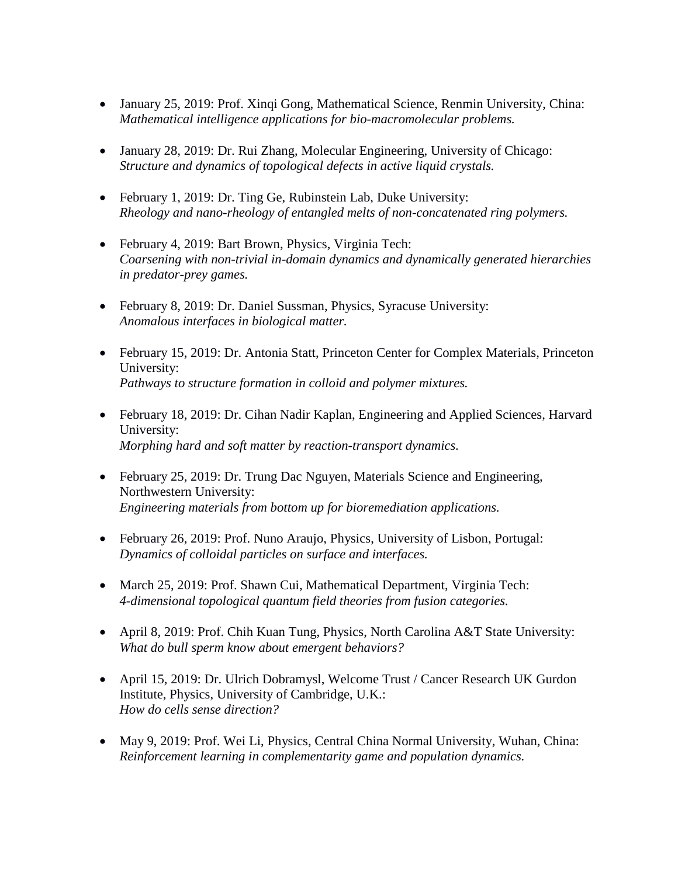- January 25, 2019: Prof. Xinqi Gong, Mathematical Science, Renmin University, China: *Mathematical intelligence applications for bio-macromolecular problems.*
- January 28, 2019: Dr. Rui Zhang, Molecular Engineering, University of Chicago: *Structure and dynamics of topological defects in active liquid crystals.*
- February 1, 2019: Dr. Ting Ge, Rubinstein Lab, Duke University: *Rheology and nano-rheology of entangled melts of non-concatenated ring polymers.*
- February 4, 2019: Bart Brown, Physics, Virginia Tech: *Coarsening with non-trivial in-domain dynamics and dynamically generated hierarchies in predator-prey games.*
- February 8, 2019: Dr. Daniel Sussman, Physics, Syracuse University: *Anomalous interfaces in biological matter.*
- February 15, 2019: Dr. Antonia Statt, Princeton Center for Complex Materials, Princeton University: *Pathways to structure formation in colloid and polymer mixtures.*
- February 18, 2019: Dr. Cihan Nadir Kaplan, Engineering and Applied Sciences, Harvard University: *Morphing hard and soft matter by reaction-transport dynamics.*
- February 25, 2019: Dr. Trung Dac Nguyen, Materials Science and Engineering, Northwestern University: *Engineering materials from bottom up for bioremediation applications.*
- February 26, 2019: Prof. Nuno Araujo, Physics, University of Lisbon, Portugal: *Dynamics of colloidal particles on surface and interfaces.*
- March 25, 2019: Prof. Shawn Cui, Mathematical Department, Virginia Tech: *4-dimensional topological quantum field theories from fusion categories.*
- April 8, 2019: Prof. Chih Kuan Tung, Physics, North Carolina A&T State University: *What do bull sperm know about emergent behaviors?*
- April 15, 2019: Dr. Ulrich Dobramysl, Welcome Trust / Cancer Research UK Gurdon Institute, Physics, University of Cambridge, U.K.: *How do cells sense direction?*
- May 9, 2019: Prof. Wei Li, Physics, Central China Normal University, Wuhan, China: *Reinforcement learning in complementarity game and population dynamics.*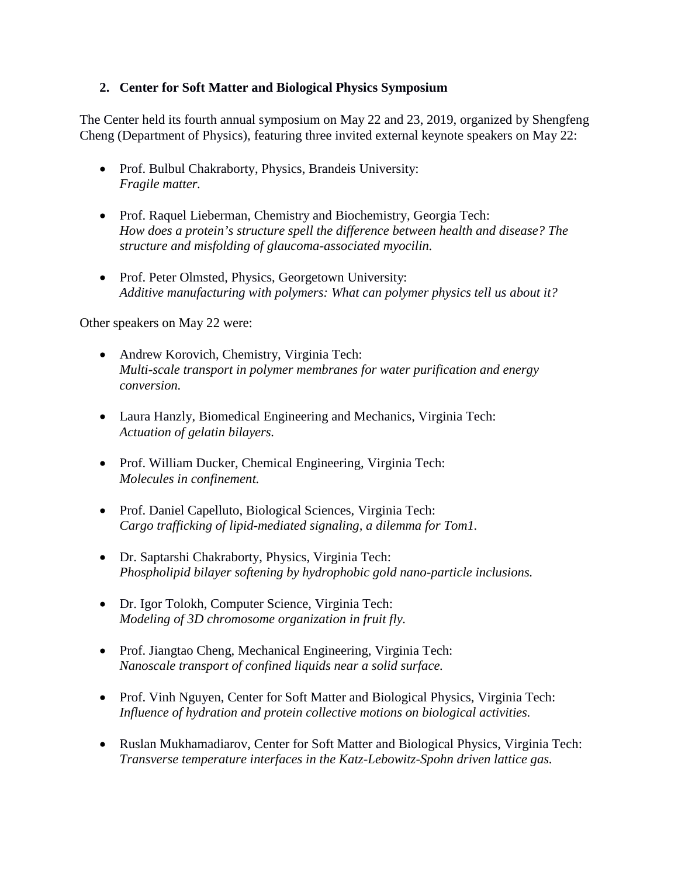#### **2. Center for Soft Matter and Biological Physics Symposium**

The Center held its fourth annual symposium on May 22 and 23, 2019, organized by Shengfeng Cheng (Department of Physics), featuring three invited external keynote speakers on May 22:

- Prof. Bulbul Chakraborty, Physics, Brandeis University: *Fragile matter.*
- Prof. Raquel Lieberman, Chemistry and Biochemistry, Georgia Tech: *How does a protein's structure spell the difference between health and disease? The structure and misfolding of glaucoma-associated myocilin.*
- Prof. Peter Olmsted, Physics, Georgetown University: *Additive manufacturing with polymers: What can polymer physics tell us about it?*

Other speakers on May 22 were:

- Andrew Korovich, Chemistry, Virginia Tech: *Multi-scale transport in polymer membranes for water purification and energy conversion.*
- Laura Hanzly, Biomedical Engineering and Mechanics, Virginia Tech: *Actuation of gelatin bilayers.*
- Prof. William Ducker, Chemical Engineering, Virginia Tech: *Molecules in confinement.*
- Prof. Daniel Capelluto, Biological Sciences, Virginia Tech: *Cargo trafficking of lipid-mediated signaling, a dilemma for Tom1.*
- Dr. Saptarshi Chakraborty, Physics, Virginia Tech: *Phospholipid bilayer softening by hydrophobic gold nano-particle inclusions.*
- Dr. Igor Tolokh, Computer Science, Virginia Tech: *Modeling of 3D chromosome organization in fruit fly.*
- Prof. Jiangtao Cheng, Mechanical Engineering, Virginia Tech: *Nanoscale transport of confined liquids near a solid surface.*
- Prof. Vinh Nguyen, Center for Soft Matter and Biological Physics, Virginia Tech: *Influence of hydration and protein collective motions on biological activities.*
- Ruslan Mukhamadiarov, Center for Soft Matter and Biological Physics, Virginia Tech: *Transverse temperature interfaces in the Katz-Lebowitz-Spohn driven lattice gas.*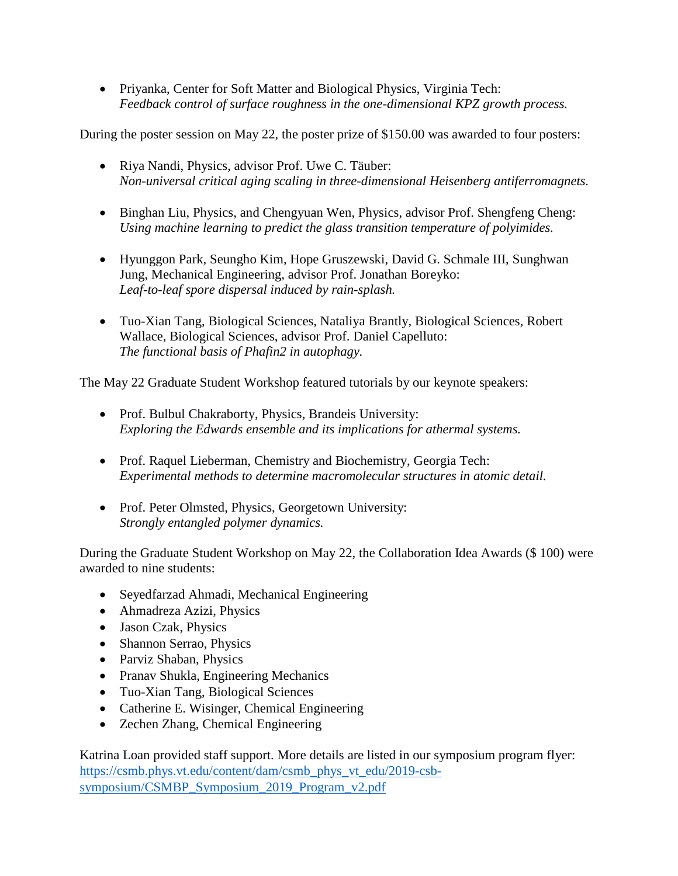• Priyanka, Center for Soft Matter and Biological Physics, Virginia Tech: *Feedback control of surface roughness in the one-dimensional KPZ growth process.*

During the poster session on May 22, the poster prize of \$150.00 was awarded to four posters:

- Riya Nandi, Physics, advisor Prof. Uwe C. Täuber: *Non-universal critical aging scaling in three-dimensional Heisenberg antiferromagnets.*
- Binghan Liu, Physics, and Chengyuan Wen, Physics, advisor Prof. Shengfeng Cheng: *Using machine learning to predict the glass transition temperature of polyimides.*
- Hyunggon Park, Seungho Kim, Hope Gruszewski, David G. Schmale III, Sunghwan Jung, Mechanical Engineering, advisor Prof. Jonathan Boreyko: *Leaf-to-leaf spore dispersal induced by rain-splash.*
- Tuo-Xian Tang, Biological Sciences, Nataliya Brantly, Biological Sciences, Robert Wallace, Biological Sciences, advisor Prof. Daniel Capelluto: *The functional basis of Phafin2 in autophagy.*

The May 22 Graduate Student Workshop featured tutorials by our keynote speakers:

- Prof. Bulbul Chakraborty, Physics, Brandeis University: *Exploring the Edwards ensemble and its implications for athermal systems.*
- Prof. Raquel Lieberman, Chemistry and Biochemistry, Georgia Tech: *Experimental methods to determine macromolecular structures in atomic detail.*
- Prof. Peter Olmsted, Physics, Georgetown University: *Strongly entangled polymer dynamics.*

During the Graduate Student Workshop on May 22, the Collaboration Idea Awards (\$ 100) were awarded to nine students:

- Seyedfarzad Ahmadi, Mechanical Engineering
- Ahmadreza Azizi, Physics
- Jason Czak, Physics
- Shannon Serrao, Physics
- Parviz Shaban, Physics
- Pranav Shukla, Engineering Mechanics
- Tuo-Xian Tang, Biological Sciences
- Catherine E. Wisinger, Chemical Engineering
- Zechen Zhang, Chemical Engineering

Katrina Loan provided staff support. More details are listed in our symposium program flyer: [https://csmb.phys.vt.edu/content/dam/csmb\\_phys\\_vt\\_edu/2019-csb](https://csmb.phys.vt.edu/content/dam/csmb_phys_vt_edu/2019-csb-symposium/CSMBP_Symposium_2019_Program_v2.pdf)[symposium/CSMBP\\_Symposium\\_2019\\_Program\\_v2.pdf](https://csmb.phys.vt.edu/content/dam/csmb_phys_vt_edu/2019-csb-symposium/CSMBP_Symposium_2019_Program_v2.pdf)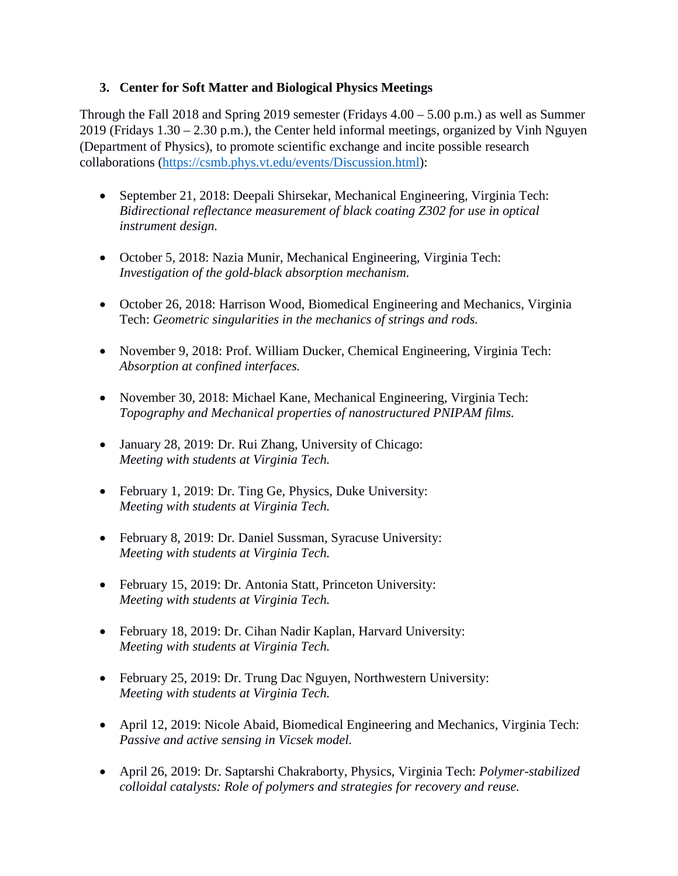#### **3. Center for Soft Matter and Biological Physics Meetings**

Through the Fall 2018 and Spring 2019 semester (Fridays 4.00 – 5.00 p.m.) as well as Summer 2019 (Fridays 1.30 – 2.30 p.m.), the Center held informal meetings, organized by Vinh Nguyen (Department of Physics), to promote scientific exchange and incite possible research collaborations [\(https://csmb.phys.vt.edu/events/Discussion.html\)](https://csmb.phys.vt.edu/events/Discussion.html):

- September 21, 2018: Deepali Shirsekar, Mechanical Engineering, Virginia Tech: *Bidirectional reflectance measurement of black coating Z302 for use in optical instrument design.*
- October 5, 2018: Nazia Munir, Mechanical Engineering, Virginia Tech: *Investigation of the gold-black absorption mechanism.*
- October 26, 2018: Harrison Wood, Biomedical Engineering and Mechanics, Virginia Tech: *Geometric singularities in the mechanics of strings and rods.*
- November 9, 2018: Prof. William Ducker, Chemical Engineering, Virginia Tech: *Absorption at confined interfaces.*
- November 30, 2018: Michael Kane, Mechanical Engineering, Virginia Tech: *Topography and Mechanical properties of nanostructured PNIPAM films.*
- January 28, 2019: Dr. Rui Zhang, University of Chicago: *Meeting with students at Virginia Tech.*
- February 1, 2019: Dr. Ting Ge, Physics, Duke University: *Meeting with students at Virginia Tech.*
- February 8, 2019: Dr. Daniel Sussman, Syracuse University: *Meeting with students at Virginia Tech.*
- February 15, 2019: Dr. Antonia Statt, Princeton University: *Meeting with students at Virginia Tech.*
- February 18, 2019: Dr. Cihan Nadir Kaplan, Harvard University: *Meeting with students at Virginia Tech.*
- February 25, 2019: Dr. Trung Dac Nguyen, Northwestern University: *Meeting with students at Virginia Tech.*
- April 12, 2019: Nicole Abaid, Biomedical Engineering and Mechanics, Virginia Tech: *Passive and active sensing in Vicsek model.*
- April 26, 2019: Dr. Saptarshi Chakraborty, Physics, Virginia Tech: *Polymer-stabilized colloidal catalysts: Role of polymers and strategies for recovery and reuse.*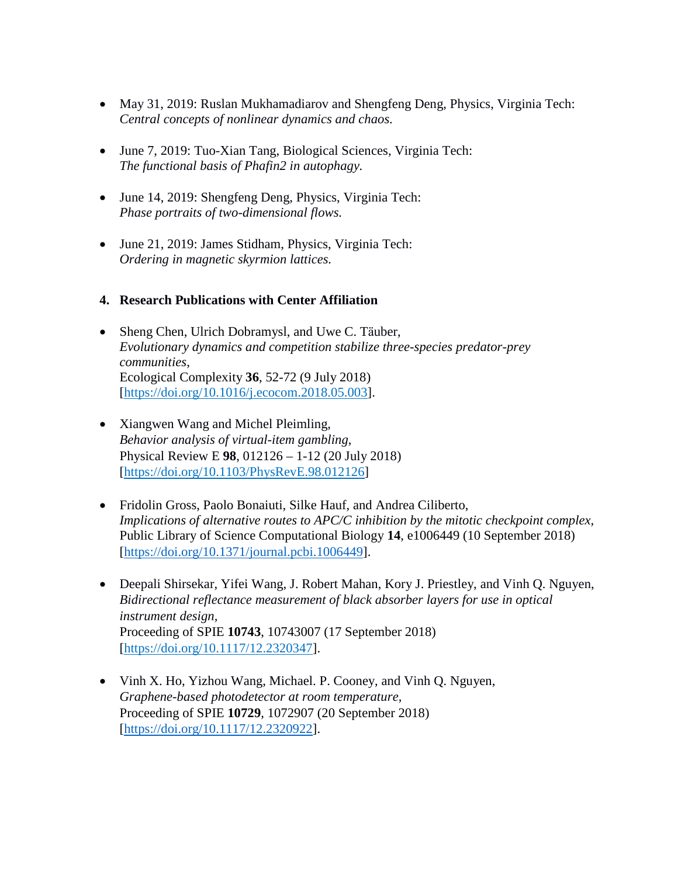- May 31, 2019: Ruslan Mukhamadiarov and Shengfeng Deng, Physics, Virginia Tech: *Central concepts of nonlinear dynamics and chaos.*
- June 7, 2019: Tuo-Xian Tang, Biological Sciences, Virginia Tech: *The functional basis of Phafin2 in autophagy.*
- June 14, 2019: Shengfeng Deng, Physics, Virginia Tech: *Phase portraits of two-dimensional flows.*
- June 21, 2019: James Stidham, Physics, Virginia Tech: *Ordering in magnetic skyrmion lattices.*

#### **4. Research Publications with Center Affiliation**

- Sheng Chen, Ulrich Dobramysl, and Uwe C. Täuber, *Evolutionary dynamics and competition stabilize three-species predator-prey communities*, Ecological Complexity **36**, 52-72 (9 July 2018) [https://doi.org/10.1016/j.ecocom.2018.05.003].
- Xiangwen Wang and Michel Pleimling, *Behavior analysis of virtual-item gambling*, Physical Review E **98**, 012126 – 1-12 (20 July 2018) [https://doi.org/10.1103/PhysRevE.98.012126]
- Fridolin Gross, Paolo Bonaiuti, Silke Hauf, and Andrea Ciliberto, *Implications of alternative routes to APC/C inhibition by the mitotic checkpoint complex,*  Public Library of Science Computational Biology **14**, e1006449 (10 September 2018) [\[https://doi.org/10.1371/journal.pcbi.1006449\]](https://doi.org/10.1371/journal.pcbi.1006449).
- Deepali Shirsekar, Yifei Wang, J. Robert Mahan, Kory J. Priestley, and Vinh Q. Nguyen, *Bidirectional reflectance measurement of black absorber layers for use in optical instrument design,* Proceeding of SPIE **10743**, 10743007 (17 September 2018) [\[https://doi.org/10.1117/12.2320347\]](https://doi.org/10.1117/12.2320347).
- Vinh X. Ho, Yizhou Wang, Michael. P. Cooney, and Vinh Q. Nguyen, *Graphene-based photodetector at room temperature,* Proceeding of SPIE **10729**, 1072907 (20 September 2018) [\[https://doi.org/10.1117/12.2320922\]](https://doi.org/10.1117/12.2320922).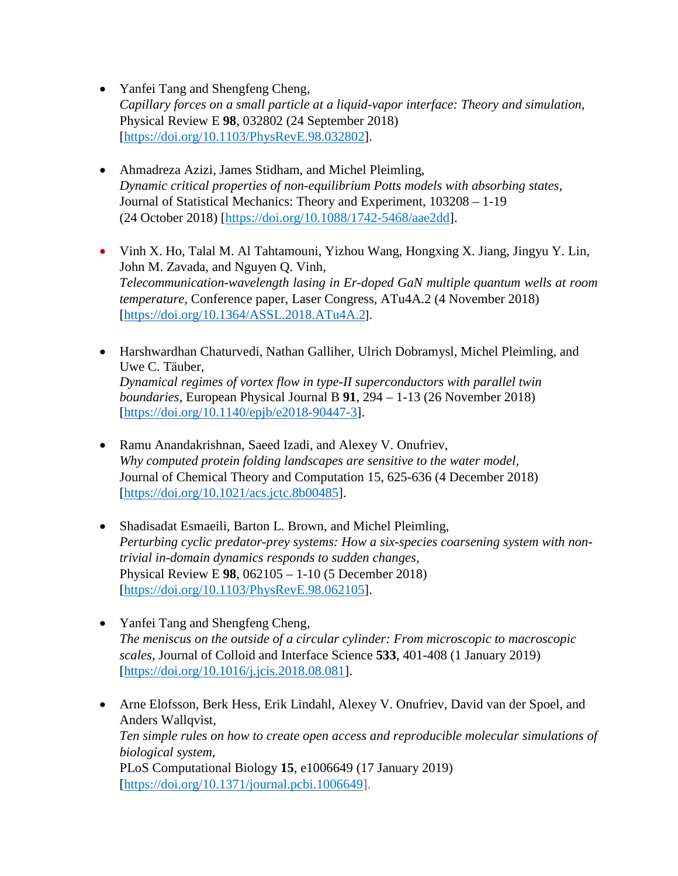- Yanfei Tang and Shengfeng Cheng, *Capillary forces on a small particle at a liquid-vapor interface: Theory and simulation*, Physical Review E **98**, 032802 (24 September 2018) [\[https://doi.org/10.1103/PhysRevE.98.032802\]](https://doi.org/10.1103/PhysRevE.98.032802).
- Ahmadreza Azizi, James Stidham, and Michel Pleimling, *Dynamic critical properties of non-equilibrium Potts models with absorbing states,*  Journal of Statistical Mechanics: Theory and Experiment, 103208 – 1-19 (24 October 2018) [https://doi.org/10.1088/1742-5468/aae2dd].
- Vinh X. Ho, Talal M. Al Tahtamouni, Yizhou Wang, Hongxing X. Jiang, Jingyu Y. Lin, John M. Zavada, and Nguyen Q. Vinh, *Telecommunication-wavelength lasing in Er-doped GaN multiple quantum wells at room temperature,* Conference paper, Laser Congress, ATu4A.2 (4 November 2018) [\[https://doi.org/10.1364/ASSL.2018.ATu4A.2](https://doi.org/10.1364/ASSL.2018.ATu4A.2)].
- Harshwardhan Chaturvedi, Nathan Galliher, Ulrich Dobramysl, Michel Pleimling, and Uwe C. Tӓuber, *Dynamical regimes of vortex flow in type-II superconductors with parallel twin boundaries*, European Physical Journal B **91**, 294 – 1-13 (26 November 2018) [\[https://doi.org/10.1140/epjb/e2018-90447-3\]](https://doi.org/10.1140/epjb/e2018-90447-3).
- Ramu Anandakrishnan, Saeed Izadi, and Alexey V. Onufriev, *Why computed protein folding landscapes are sensitive to the water model,* Journal of Chemical Theory and Computation 15, 625-636 (4 December 2018) [\[https://doi.org/10.1021/acs.jctc.8b00485\]](https://doi.org/10.1021/acs.jctc.8b00485).
- Shadisadat Esmaeili, Barton L. Brown, and Michel Pleimling, *Perturbing cyclic predator-prey systems: How a six-species coarsening system with nontrivial in-domain dynamics responds to sudden changes,* Physical Review E **98**, 062105 – 1-10 (5 December 2018) [https://doi.org/10.1103/PhysRevE.98.062105].
- Yanfei Tang and Shengfeng Cheng, *The meniscus on the outside of a circular cylinder: From microscopic to macroscopic scales*, Journal of Colloid and Interface Science **533**, 401-408 (1 January 2019) [\[https://doi.org/10.1016/j.jcis.2018.08.081\]](https://doi.org/10.1016/j.jcis.2018.08.081).
- Arne Elofsson, Berk Hess, Erik Lindahl, Alexey V. Onufriev, David van der Spoel, and Anders Wallqvist, *Ten simple rules on how to create open access and reproducible molecular simulations of biological system*, PLoS Computational Biology **15**, e1006649 (17 January 2019) [\[https://doi.org/10.1371/journal.pcbi.1006649\]](https://doi.org/10.1371/journal.pcbi.1006649).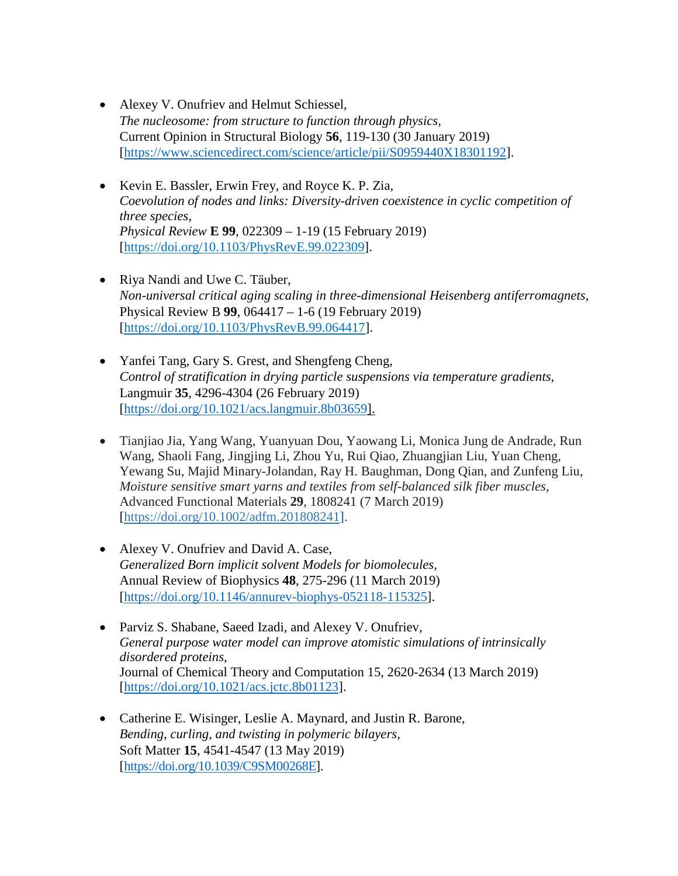- Alexey V. Onufriev and Helmut Schiessel, *The nucleosome: from structure to function through physics,* Current Opinion in Structural Biology **56**, 119-130 (30 January 2019) [\[https://www.sciencedirect.com/science/article/pii/S0959440X18301192\]](https://www.sciencedirect.com/science/article/pii/S0959440X18301192).
- Kevin E. Bassler, Erwin Frey, and Royce K. P. Zia, *Coevolution of nodes and links: Diversity-driven coexistence in cyclic competition of three species, Physical Review* **E 99**, 022309 – 1-19 (15 February 2019) [https://doi.org/10.1103/PhysRevE.99.022309].
- Riya Nandi and Uwe C. Täuber, *Non-universal critical aging scaling in three-dimensional Heisenberg antiferromagnets*, Physical Review B **99**, 064417 – 1-6 (19 February 2019) [https://doi.org/10.1103/PhysRevB.99.064417].
- Yanfei Tang, Gary S. Grest, and Shengfeng Cheng, *Control of stratification in drying particle suspensions via temperature gradients*, Langmuir **35**, 4296-4304 (26 February 2019) [\[https://doi.org/10.1021/acs.langmuir.8b03659\]](https://doi.org/10.1021/acs.langmuir.8b03659).
- Tianjiao Jia, Yang Wang, Yuanyuan Dou, Yaowang Li, Monica Jung de Andrade, Run Wang, Shaoli Fang, Jingjing Li, Zhou Yu, Rui Qiao, Zhuangjian Liu, Yuan Cheng, Yewang Su, Majid Minary-Jolandan, Ray H. Baughman, Dong Qian, and Zunfeng Liu, *Moisture sensitive smart yarns and textiles from self-balanced silk fiber muscles,* Advanced Functional Materials **29**, 1808241 (7 March 2019) [https://doi.org/10.1002/adfm.201808241].
- Alexey V. Onufriev and David A. Case, *Generalized Born implicit solvent Models for biomolecules,* Annual Review of Biophysics **48**, 275-296 (11 March 2019) [\[https://doi.org/10.1146/annurev-biophys-052118-115325\]](https://doi.org/10.1146/annurev-biophys-052118-115325).
- Parviz S. Shabane, Saeed Izadi, and Alexey V. Onufriev, *General purpose water model can improve atomistic simulations of intrinsically disordered proteins*, Journal of Chemical Theory and Computation 15, 2620-2634 (13 March 2019) [\[https://doi.org/10.1021/acs.jctc.8b01123\]](https://doi.org/10.1021/acs.jctc.8b01123).
- Catherine E. Wisinger, Leslie A. Maynard, and Justin R. Barone, *Bending, curling, and twisting in polymeric bilayers*, Soft Matter **15**, 4541-4547 (13 May 2019) [\[https://doi.org/10.1039/C9SM00268E\]](https://doi.org/10.1039/C9SM00268E).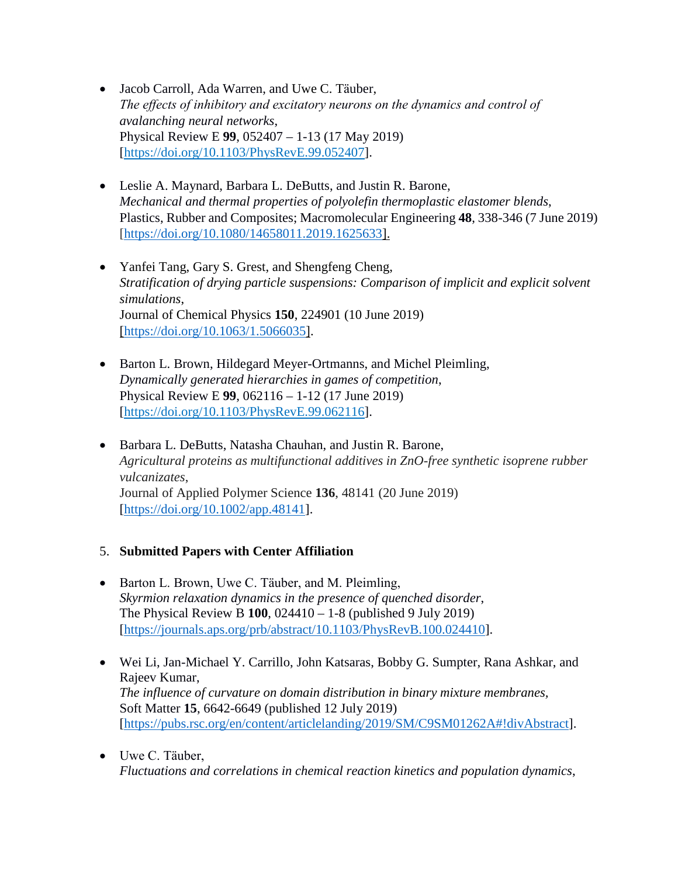- Jacob Carroll, Ada Warren, and Uwe C. Täuber, *The effects of inhibitory and excitatory neurons on the dynamics and control of avalanching neural networks*, Physical Review E **99**, 052407 – 1-13 (17 May 2019) [https://doi.org/10.1103/PhysRevE.99.052407].
- Leslie A. Maynard, Barbara L. DeButts, and Justin R. Barone, *Mechanical and thermal properties of polyolefin thermoplastic elastomer blends*, Plastics, Rubber and Composites; Macromolecular Engineering **48**, 338-346 (7 June 2019) [\[https://doi.org/10.1080/14658011.2019.1625633\]](https://doi.org/10.1080/14658011.2019.1625633).
- Yanfei Tang, Gary S. Grest, and Shengfeng Cheng, *Stratification of drying particle suspensions: Comparison of implicit and explicit solvent simulations*, Journal of Chemical Physics **150**, 224901 (10 June 2019) [\[https://doi.org/10.1063/1.5066035\]](https://doi.org/10.1063/1.5066035).
- Barton L. Brown, Hildegard Meyer-Ortmanns, and Michel Pleimling, *Dynamically generated hierarchies in games of competition*, Physical Review E **99**, 062116 – 1-12 (17 June 2019) [https://doi.org/10.1103/PhysRevE.99.062116].
- Barbara L. DeButts, Natasha Chauhan, and Justin R. Barone, *Agricultural proteins as multifunctional additives in ZnO-free synthetic isoprene rubber vulcanizates*, Journal of Applied Polymer Science **136**, 48141 (20 June 2019) [\[https://doi.org/10.1002/app.48141\]](https://doi.org/10.1002/app.48141).

#### 5. **Submitted Papers with Center Affiliation**

- Barton L. Brown, Uwe C. Täuber, and M. Pleimling, *Skyrmion relaxation dynamics in the presence of quenched disorder*, The Physical Review B **100**, 024410 – 1-8 (published 9 July 2019) [\[https://journals.aps.org/prb/abstract/10.1103/PhysRevB.100.024410\]](https://journals.aps.org/prb/abstract/10.1103/PhysRevB.100.024410).
- Wei Li, Jan-Michael Y. Carrillo, John Katsaras, Bobby G. Sumpter, Rana Ashkar, and Rajeev Kumar, *The influence of curvature on domain distribution in binary mixture membranes,* Soft Matter **15**, 6642-6649 (published 12 July 2019) [\[https://pubs.rsc.org/en/content/articlelanding/2019/SM/C9SM01262A#!divAbstract\]](https://pubs.rsc.org/en/content/articlelanding/2019/SM/C9SM01262A#!divAbstract).
- Uwe C. Tӓuber, *Fluctuations and correlations in chemical reaction kinetics and population dynamics*,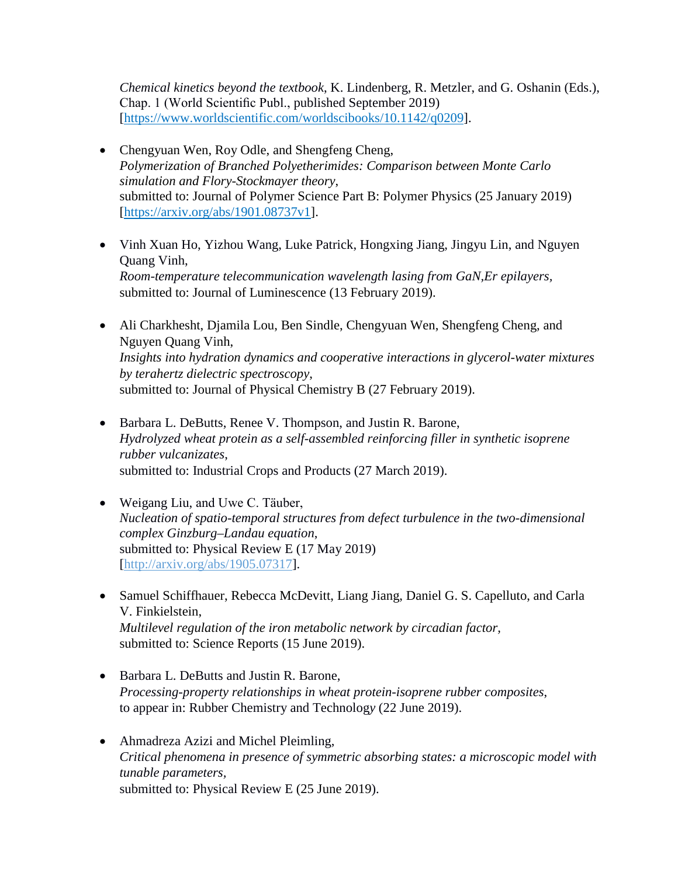*Chemical kinetics beyond the textbook*, K. Lindenberg, R. Metzler, and G. Oshanin (Eds.), Chap. 1 (World Scientific Publ., published September 2019) [https://www.worldscientific.com/worldscibooks/10.1142/q0209].

- Chengyuan Wen, Roy Odle, and Shengfeng Cheng, *Polymerization of Branched Polyetherimides: Comparison between Monte Carlo simulation and Flory-Stockmayer theory*, submitted to: Journal of Polymer Science Part B: Polymer Physics (25 January 2019) [\[https://arxiv.org/abs/1901.08737v1\]](https://arxiv.org/abs/1901.08737v1).
- Vinh Xuan Ho, Yizhou Wang, Luke Patrick, Hongxing Jiang, Jingyu Lin, and Nguyen Quang Vinh, *Room-temperature telecommunication wavelength lasing from GaN,Er epilayers,* submitted to: Journal of Luminescence (13 February 2019).
- Ali Charkhesht, Djamila Lou, Ben Sindle, Chengyuan Wen, Shengfeng Cheng, and Nguyen Quang Vinh, *Insights into hydration dynamics and cooperative interactions in glycerol-water mixtures by terahertz dielectric spectroscopy*, submitted to: Journal of Physical Chemistry B (27 February 2019).
- Barbara L. DeButts, Renee V. Thompson, and Justin R. Barone, *Hydrolyzed wheat protein as a self-assembled reinforcing filler in synthetic isoprene rubber vulcanizates*, submitted to: Industrial Crops and Products (27 March 2019).
- Weigang Liu, and Uwe C. Täuber, *Nucleation of spatio-temporal structures from defect turbulence in the two-dimensional complex Ginzburg–Landau equation*, submitted to: Physical Review E (17 May 2019) [\[http://arxiv.org/abs/1905.07317\]](http://arxiv.org/abs/1905.07317).
- Samuel Schiffhauer, Rebecca McDevitt, Liang Jiang, Daniel G. S. Capelluto, and Carla V. Finkielstein, *Multilevel regulation of the iron metabolic network by circadian factor,*  submitted to: Science Reports (15 June 2019).
- Barbara L. DeButts and Justin R. Barone, *Processing-property relationships in wheat protein-isoprene rubber composites*, to appear in: Rubber Chemistry and Technolog*y* (22 June 2019).
- Ahmadreza Azizi and Michel Pleimling, *Critical phenomena in presence of symmetric absorbing states: a microscopic model with tunable parameters,* submitted to: Physical Review E (25 June 2019).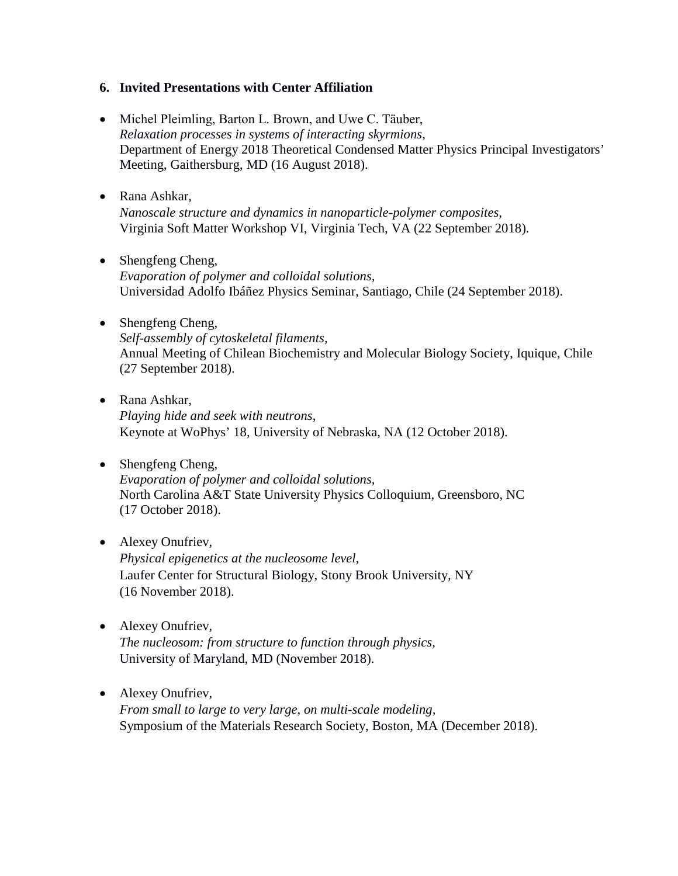#### **6. Invited Presentations with Center Affiliation**

- Michel Pleimling, Barton L. Brown, and Uwe C. Täuber, *Relaxation processes in systems of interacting skyrmions*, Department of Energy 2018 Theoretical Condensed Matter Physics Principal Investigators' Meeting, Gaithersburg, MD (16 August 2018).
- Rana Ashkar, *Nanoscale structure and dynamics in nanoparticle-polymer composites,* Virginia Soft Matter Workshop VI, Virginia Tech, VA (22 September 2018).
- Shengfeng Cheng, *Evaporation of polymer and colloidal solutions,*  Universidad Adolfo Ibáñez Physics Seminar, Santiago, Chile (24 September 2018).
- Shengfeng Cheng, *Self-assembly of cytoskeletal filaments,*  Annual Meeting of Chilean Biochemistry and Molecular Biology Society, Iquique, Chile (27 September 2018).
- Rana Ashkar, *Playing hide and seek with neutrons,* Keynote at WoPhys' 18, University of Nebraska, NA (12 October 2018).
- Shengfeng Cheng, *Evaporation of polymer and colloidal solutions*, North Carolina A&T State University Physics Colloquium, Greensboro, NC (17 October 2018).
- Alexey Onufriev, *Physical epigenetics at the nucleosome level,* Laufer Center for Structural Biology, Stony Brook University, NY (16 November 2018).
- Alexey Onufriev, *The nucleosom: from structure to function through physics,* University of Maryland, MD (November 2018).
- Alexey Onufriev, *From small to large to very large, on multi-scale modeling,* Symposium of the Materials Research Society, Boston, MA (December 2018).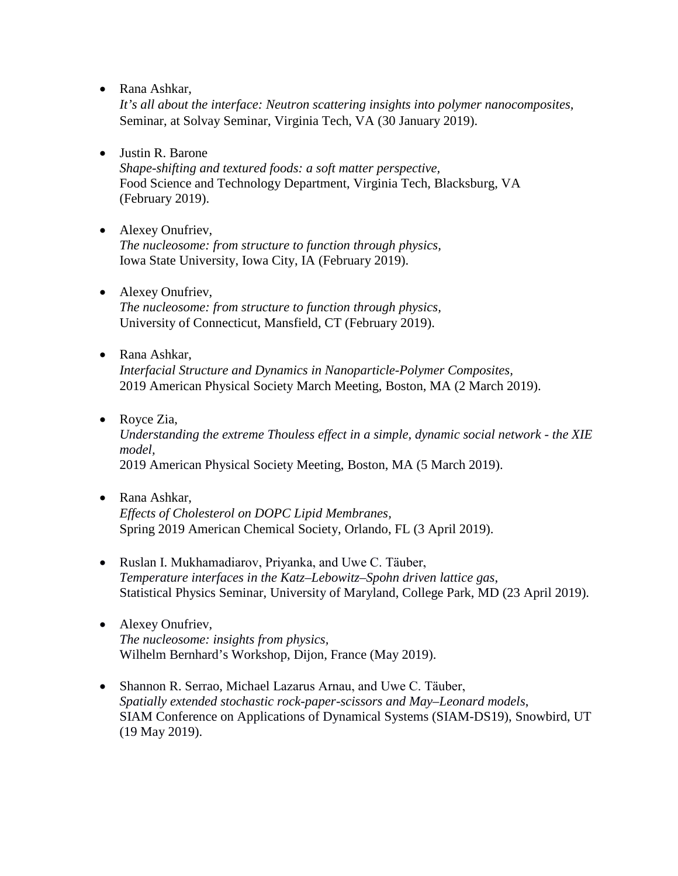• Rana Ashkar,

*It's all about the interface: Neutron scattering insights into polymer nanocomposites,* Seminar, at Solvay Seminar, Virginia Tech, VA (30 January 2019).

• Justin R. Barone

*Shape-shifting and textured foods: a soft matter perspective,* Food Science and Technology Department, Virginia Tech, Blacksburg, VA (February 2019).

- Alexey Onufriev, *The nucleosome: from structure to function through physics,*  Iowa State University, Iowa City, IA (February 2019).
- Alexey Onufriev, *The nucleosome: from structure to function through physics,*  University of Connecticut, Mansfield, CT (February 2019).
- Rana Ashkar, *Interfacial Structure and Dynamics in Nanoparticle-Polymer Composites,* 2019 American Physical Society March Meeting, Boston, MA (2 March 2019).
- Royce Zia, *Understanding the extreme Thouless effect in a simple, dynamic social network - the XIE model,* 2019 American Physical Society Meeting, Boston, MA (5 March 2019).
- Rana Ashkar, *Effects of Cholesterol on DOPC Lipid Membranes,* Spring 2019 American Chemical Society, Orlando, FL (3 April 2019).
- Ruslan I. Mukhamadiarov, Priyanka, and Uwe C. Tӓuber, *Temperature interfaces in the Katz–Lebowitz–Spohn driven lattice gas*, Statistical Physics Seminar, University of Maryland, College Park, MD (23 April 2019).
- Alexey Onufriev, *The nucleosome: insights from physics,* Wilhelm Bernhard's Workshop, Dijon, France (May 2019).
- Shannon R. Serrao, Michael Lazarus Arnau, and Uwe C. Tӓuber, *Spatially extended stochastic rock-paper-scissors and May–Leonard models*, SIAM Conference on Applications of Dynamical Systems (SIAM-DS19), Snowbird, UT (19 May 2019).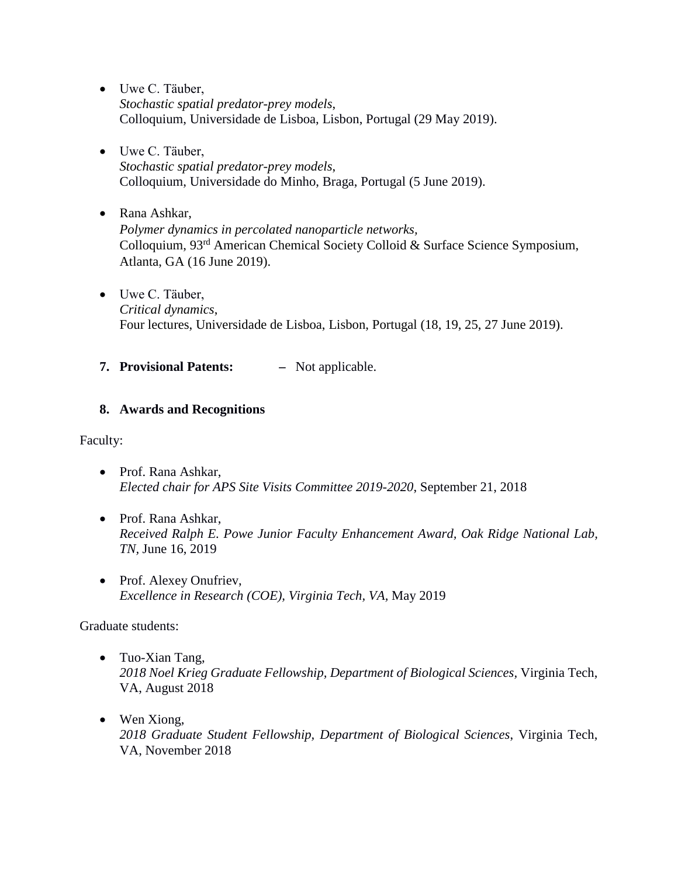- Uwe C. Tӓuber, *Stochastic spatial predator-prey models*, Colloquium, Universidade de Lisboa, Lisbon, Portugal (29 May 2019).
- Uwe C. Tӓuber, *Stochastic spatial predator-prey models*, Colloquium, Universidade do Minho, Braga, Portugal (5 June 2019).
- Rana Ashkar, *Polymer dynamics in percolated nanoparticle networks,*  Colloquium, 93rd American Chemical Society Colloid & Surface Science Symposium, Atlanta, GA (16 June 2019).
- Uwe C. Tӓuber, *Critical dynamics*, Four lectures, Universidade de Lisboa, Lisbon, Portugal (18, 19, 25, 27 June 2019).
- **7. Provisional Patents:** Not applicable.

### **8. Awards and Recognitions**

Faculty:

- Prof. Rana Ashkar, *Elected chair for APS Site Visits Committee 2019-2020*, September 21, 2018
- Prof. Rana Ashkar, *Received Ralph E. Powe Junior Faculty Enhancement Award, Oak Ridge National Lab, TN,* June 16, 2019
- Prof. Alexey Onufriev, *Excellence in Research (COE), Virginia Tech, VA,* May 2019

Graduate students:

- Tuo-Xian Tang, *2018 Noel Krieg Graduate Fellowship, Department of Biological Sciences,* Virginia Tech, VA, August 2018
- Wen Xiong, *2018 Graduate Student Fellowship, Department of Biological Sciences*, Virginia Tech, VA, November 2018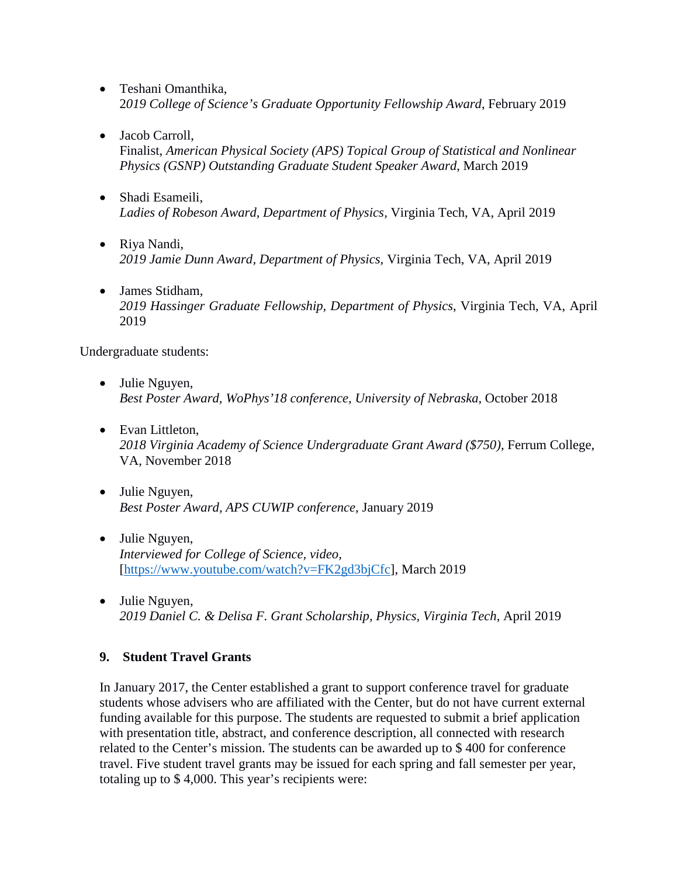- Teshani Omanthika, 2*019 College of Science's Graduate Opportunity Fellowship Award*, February 2019
- Jacob Carroll,

Finalist, *American Physical Society (APS) Topical Group of Statistical and Nonlinear Physics (GSNP) Outstanding Graduate Student Speaker Award*, March 2019

- Shadi Esameili, *Ladies of Robeson Award, Department of Physics,* Virginia Tech, VA, April 2019
- Riya Nandi, *2019 Jamie Dunn Award, Department of Physics*, Virginia Tech, VA, April 2019
- James Stidham, *2019 Hassinger Graduate Fellowship, Department of Physics*, Virginia Tech, VA, April 2019

Undergraduate students:

- Julie Nguyen, *Best Poster Award, WoPhys'18 conference, University of Nebraska,* October 2018
- Evan Littleton, *2018 Virginia Academy of Science Undergraduate Grant Award (\$750),* Ferrum College, VA, November 2018
- Julie Nguyen, *Best Poster Award, APS CUWIP conference*, January 2019
- Julie Nguyen, *Interviewed for College of Science, video,*  [\[https://www.youtube.com/watch?v=FK2gd3bjCfc\]](https://www.youtube.com/watch?v=FK2gd3bjCfc), March 2019
- Julie Nguyen, *2019 Daniel C. & Delisa F. Grant Scholarship, Physics, Virginia Tech*, April 2019

#### **9. Student Travel Grants**

In January 2017, the Center established a grant to support conference travel for graduate students whose advisers who are affiliated with the Center, but do not have current external funding available for this purpose. The students are requested to submit a brief application with presentation title, abstract, and conference description, all connected with research related to the Center's mission. The students can be awarded up to \$ 400 for conference travel. Five student travel grants may be issued for each spring and fall semester per year, totaling up to \$ 4,000. This year's recipients were: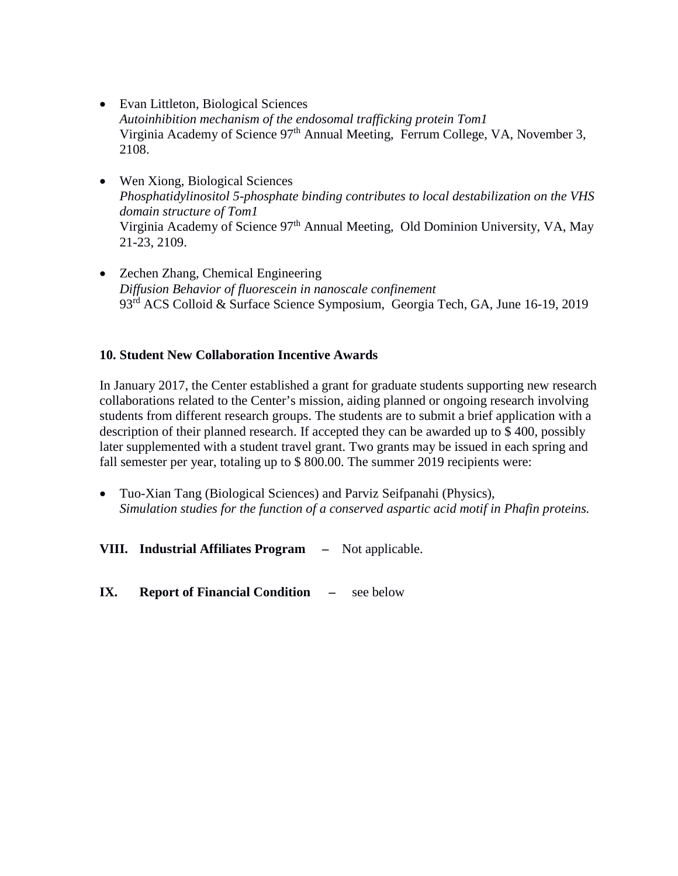- Evan Littleton, Biological Sciences *Autoinhibition mechanism of the endosomal trafficking protein Tom1* Virginia Academy of Science 97<sup>th</sup> Annual Meeting, Ferrum College, VA, November 3, 2108.
- Wen Xiong, Biological Sciences *Phosphatidylinositol 5-phosphate binding contributes to local destabilization on the VHS domain structure of Tom1* Virginia Academy of Science 97<sup>th</sup> Annual Meeting, Old Dominion University, VA, May 21-23, 2109.
- Zechen Zhang, Chemical Engineering *Diffusion Behavior of fluorescein in nanoscale confinement* 93rd ACS Colloid & Surface Science Symposium, Georgia Tech, GA, June 16-19, 2019

#### **10. Student New Collaboration Incentive Awards**

In January 2017, the Center established a grant for graduate students supporting new research collaborations related to the Center's mission, aiding planned or ongoing research involving students from different research groups. The students are to submit a brief application with a description of their planned research. If accepted they can be awarded up to \$ 400, possibly later supplemented with a student travel grant. Two grants may be issued in each spring and fall semester per year, totaling up to \$800.00. The summer 2019 recipients were:

- Tuo-Xian Tang (Biological Sciences) and Parviz Seifpanahi (Physics), *Simulation studies for the function of a conserved aspartic acid motif in Phafin proteins.*
- **VIII. Industrial Affiliates Program** Not applicable.

**IX. Report of Financial Condition –** see below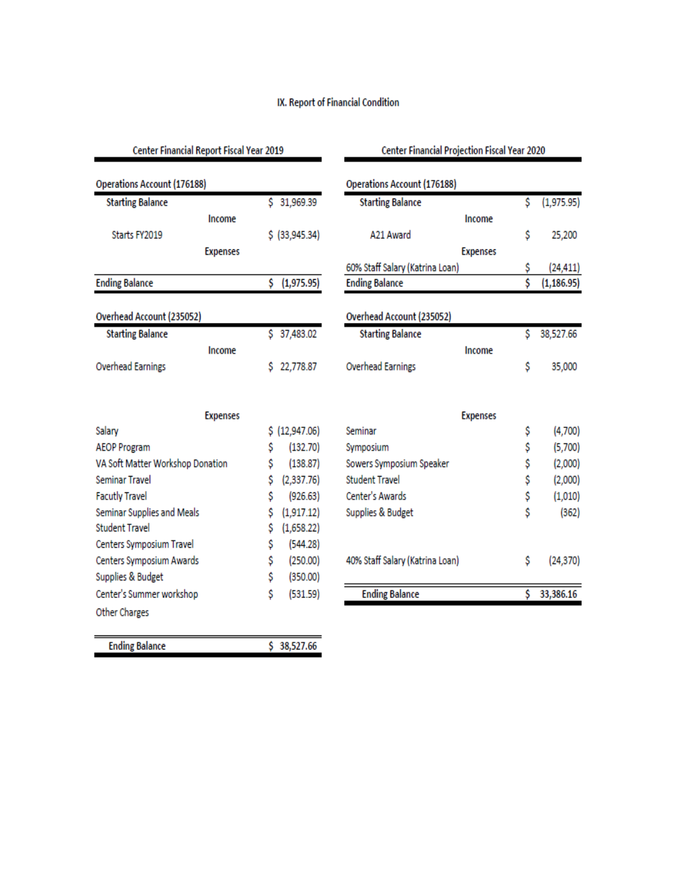### IX. Report of Financial Condition

| Center Financial Report Fiscal Year 2019 |                 |    |                | Center Financial Projection Fiscal Year 2020 |                 |     |             |
|------------------------------------------|-----------------|----|----------------|----------------------------------------------|-----------------|-----|-------------|
| <b>Operations Account (176188)</b>       |                 |    |                | <b>Operations Account (176188)</b>           |                 |     |             |
| <b>Starting Balance</b>                  |                 |    | \$31,969.39    | <b>Starting Balance</b>                      |                 | \$  | (1,975.95)  |
|                                          | Income          |    |                |                                              | Income          |     |             |
| Starts FY2019                            |                 |    | \$ (33,945.34) | A21 Award                                    |                 | \$  | 25,200      |
|                                          | <b>Expenses</b> |    |                | <b>Expenses</b>                              |                 |     |             |
|                                          |                 |    |                | 60% Staff Salary (Katrina Loan)              |                 | \$  | (24, 411)   |
| <b>Ending Balance</b>                    |                 |    | \$(1,975.95)   | <b>Ending Balance</b>                        |                 | \$  | (1, 186.95) |
| Overhead Account (235052)                |                 |    |                | Overhead Account (235052)                    |                 |     |             |
| <b>Starting Balance</b>                  |                 |    | \$ 37,483.02   | <b>Starting Balance</b>                      |                 | \$  | 38,527.66   |
|                                          | Income          |    |                |                                              | Income          |     |             |
| <b>Overhead Earnings</b>                 |                 | Ś  | 22,778.87      | <b>Overhead Earnings</b>                     |                 | \$  | 35,000      |
| <b>Expenses</b>                          |                 |    |                |                                              | <b>Expenses</b> |     |             |
| Salary                                   |                 |    | \$(12, 947.06) | Seminar                                      |                 | \$  | (4,700)     |
| <b>AEOP Program</b>                      |                 | \$ | (132.70)       | Symposium                                    |                 | \$  | (5,700)     |
| VA Soft Matter Workshop Donation         |                 | \$ | (138.87)       | Sowers Symposium Speaker                     |                 | \$  | (2,000)     |
| <b>Seminar Travel</b>                    |                 | \$ | (2,337.76)     | <b>Student Travel</b>                        |                 | \$  | (2,000)     |
| <b>Facutly Travel</b>                    |                 | Ś  | (926.63)       | Center's Awards                              |                 | \$  | (1,010)     |
| Seminar Supplies and Meals               |                 | \$ | (1,917.12)     | Supplies & Budget                            |                 | \$  | (362)       |
| <b>Student Travel</b>                    |                 | \$ | (1,658.22)     |                                              |                 |     |             |
| Centers Symposium Travel                 |                 | \$ | (544.28)       |                                              |                 |     |             |
| Centers Symposium Awards                 |                 | \$ | (250.00)       | 40% Staff Salary (Katrina Loan)              |                 | \$  | (24, 370)   |
| Supplies & Budget                        |                 | \$ | (350.00)       |                                              |                 |     |             |
| Center's Summer workshop                 |                 | \$ | (531.59)       | <b>Ending Balance</b>                        |                 | \$. | 33,386.16   |
| Other Charges                            |                 |    |                |                                              |                 |     |             |
| <b>Ending Balance</b>                    |                 |    | \$ 38,527.66   |                                              |                 |     |             |